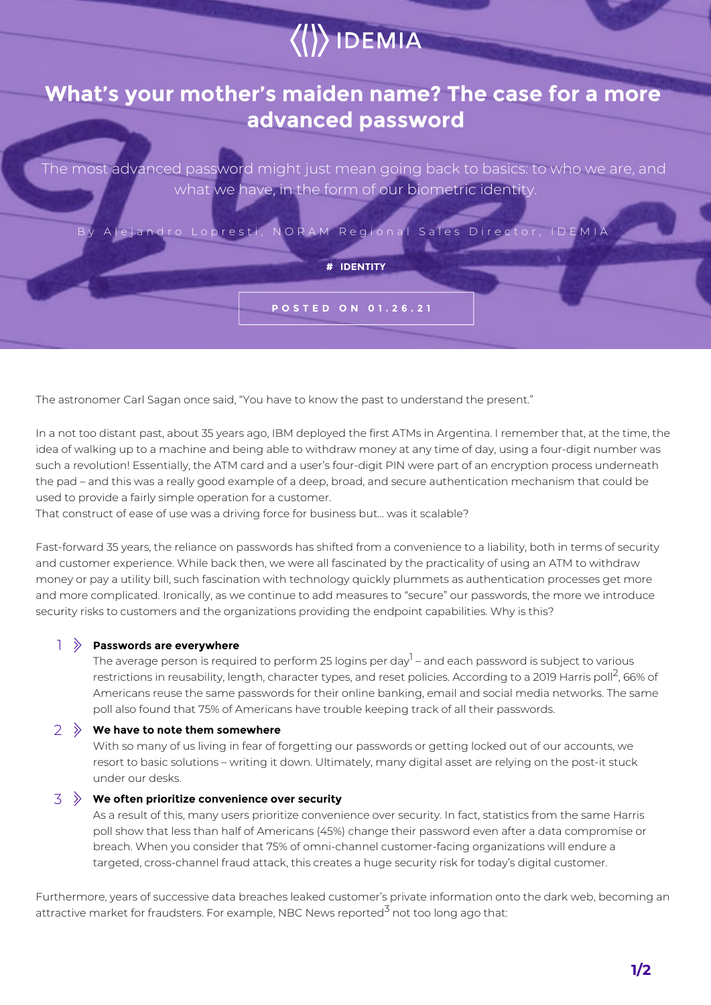# $\langle\langle\rangle\rangle$  IDEMIA

## **What's your mother's maiden name? The case for a more advanced password**

The most advanced password might just mean going back to basics: to who we are, and what we have, in the form of our biometric identity.

By Alejandro Lopresti, NORAM Regional Sales Director, IDEMIA

**# IDENTITY**

**POSTED ON 01.26.21**

The astronomer Carl Sagan once said, "You have to know the past to understand the present."

In a not too distant past, about 35 years ago, IBM deployed the first ATMs in Argentina. I remember that, at the time, the idea of walking up to a machine and being able to withdraw money at any time of day, using a four-digit number was such a revolution! Essentially, the ATM card and a user's four-digit PIN were part of an encryption process underneath the pad – and this was a really good example of a deep, broad, and secure authentication mechanism that could be used to provide a fairly simple operation for a customer.

That construct of ease of use was a driving force for business but… was it scalable?

Fast-forward 35 years, the reliance on passwords has shifted from a convenience to a liability, both in terms of security and customer experience. While back then, we were all fascinated by the practicality of using an ATM to withdraw money or pay a utility bill, such fascination with technology quickly plummets as authentication processes get more and more complicated. Ironically, as we continue to add measures to "secure" our passwords, the more we introduce security risks to customers and the organizations providing the endpoint capabilities. Why is this?

#### **Passwords are everywhere**   $1 \times$

The average person is required to perform 25 logins per day $^{\rm l}$  – and each password is subject to various restrictions in reusability, length, character types, and reset policies. According to a 2019 Harris poll<sup>2</sup>, 66% of Americans reuse the same passwords for their online banking, email and social media networks. The same poll also found that 75% of Americans have trouble keeping track of all their passwords.

#### **We have to note them somewhere**  2

With so many of us living in fear of forgetting our passwords or getting locked out of our accounts, we resort to basic solutions – writing it down. Ultimately, many digital asset are relying on the post-it stuck under our desks.

#### $\mathcal{F} \gg 0$  We often prioritize convenience over security

As a result of this, many users prioritize convenience over security. In fact, statistics from the same Harris poll show that less than half of Americans (45%) change their password even after a data compromise or breach. When you consider that 75% of omni-channel customer-facing organizations will endure a targeted, cross-channel fraud attack, this creates a huge security risk for today's digital customer.

Furthermore, years of successive data breaches leaked customer's private information onto the dark web, becoming an attractive market for fraudsters. For example, NBC News reported<sup>3</sup> not too long ago that:

**1/2**